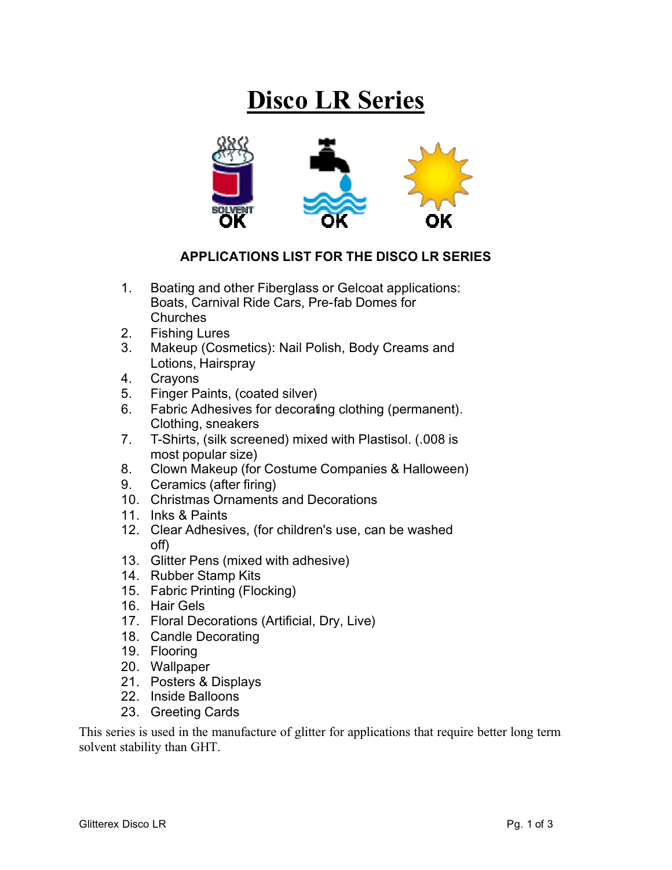## **Disco LR Series**



## **APPLICATIONS LIST FOR THE DISCO LR SERIES**

- 1. Boating and other Fiberglass or Gelcoat applications: Boats, Carnival Ride Cars, Pre-fab Domes for **Churches**
- 2. Fishing Lures
- 3. Makeup (Cosmetics): Nail Polish, Body Creams and Lotions, Hairspray
- 4. Crayons
- 5. Finger Paints, (coated silver)
- 6. Fabric Adhesives for decorating clothing (permanent). Clothing, sneakers
- 7. T-Shirts, (silk screened) mixed with Plastisol. (.008 is most popular size)
- 8. Clown Makeup (for Costume Companies & Halloween)
- 9. Ceramics (after firing)
- 10. Christmas Ornaments and Decorations
- 11. Inks & Paints
- 12. Clear Adhesives, (for children's use, can be washed off)
- 13. Glitter Pens (mixed with adhesive)
- 14. Rubber Stamp Kits
- 15. Fabric Printing (Flocking)
- 16. Hair Gels
- 17. Floral Decorations (Artificial, Dry, Live)
- 18. Candle Decorating
- 19. Flooring
- 20. Wallpaper
- 21. Posters & Displays
- 22. Inside Balloons
- 23. Greeting Cards

This series is used in the manufacture of glitter for applications that require better long term solvent stability than GHT.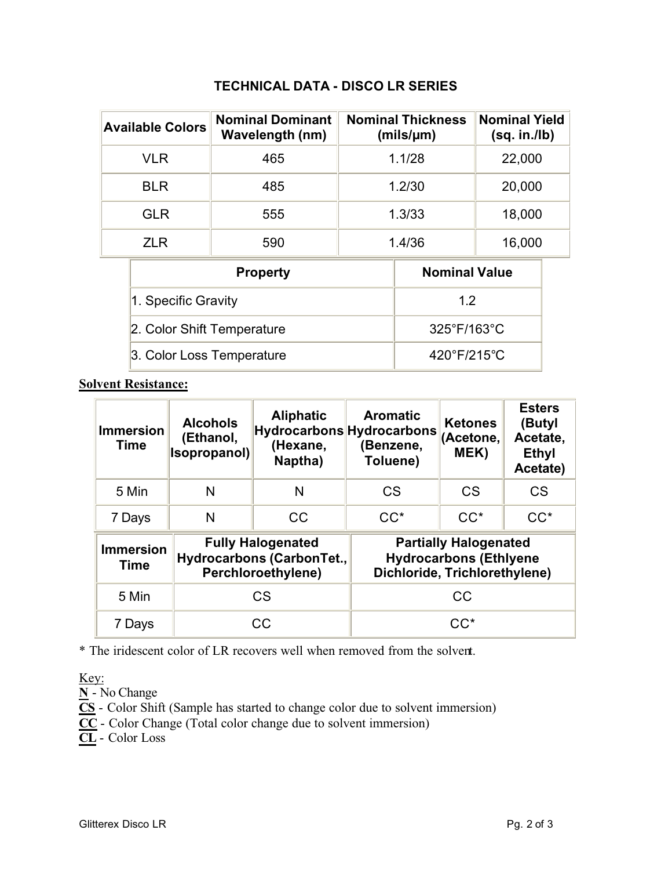## **TECHNICAL DATA - DISCO LR SERIES**

| <b>Nominal Dominant</b><br><b>Available Colors</b><br><b>Wavelength (nm)</b> |     | <b>Nominal Thickness</b><br>$(mils/\mu m)$ | <b>Nominal Yield</b><br>(sq. in./lb) |  |
|------------------------------------------------------------------------------|-----|--------------------------------------------|--------------------------------------|--|
| VLR                                                                          | 465 | 1.1/28                                     | 22,000                               |  |
| BLR                                                                          | 485 | 1.2/30                                     | 20,000                               |  |
| <b>GLR</b>                                                                   | 555 | 1.3/33                                     | 18,000                               |  |
| 71 R                                                                         | 590 | 1.4/36                                     | 16,000                               |  |

| <b>Property</b>            | <b>Nominal Value</b>        |  |  |
|----------------------------|-----------------------------|--|--|
| 1. Specific Gravity        | 12                          |  |  |
| 2. Color Shift Temperature | $325^{\circ}F/163^{\circ}C$ |  |  |
| 3. Color Loss Temperature  | $420^{\circ}F/215^{\circ}C$ |  |  |

**Solvent Resistance:**

| <b>Immersion</b><br><b>Time</b> | <b>Alcohols</b><br>(Ethanol,<br>Isopropanol) | <b>Aliphatic</b><br>(Hexane,<br>Naptha)                                     | <b>Aromatic</b><br><b>Hydrocarbons Hydrocarbons</b><br>(Benzene,<br>Toluene)                   | <b>Ketones</b><br>(Acetone,<br>MEK) | <b>Esters</b><br>(Butyl<br>Acetate,<br><b>Ethyl</b><br>Acetate) |
|---------------------------------|----------------------------------------------|-----------------------------------------------------------------------------|------------------------------------------------------------------------------------------------|-------------------------------------|-----------------------------------------------------------------|
| 5 Min                           | N                                            | N                                                                           | <b>CS</b>                                                                                      | CS                                  | <b>CS</b>                                                       |
| 7 Days                          | N                                            | CC                                                                          | $CC^*$                                                                                         | $CC^*$                              | $CC^*$                                                          |
| <b>Immersion</b><br><b>Time</b> |                                              | <b>Fully Halogenated</b><br>Hydrocarbons (CarbonTet.,<br>Perchloroethylene) | <b>Partially Halogenated</b><br><b>Hydrocarbons (Ethlyene</b><br>Dichloride, Trichlorethylene) |                                     |                                                                 |
| 5 Min                           | CS                                           |                                                                             | CC                                                                                             |                                     |                                                                 |
| 7 Days                          |                                              | CC                                                                          | $CC^*$                                                                                         |                                     |                                                                 |

\* The iridescent color of LR recovers well when removed from the solvent.

Key:

**N** - No Change

**CS** - Color Shift (Sample has started to change color due to solvent immersion)

**CC** - Color Change (Total color change due to solvent immersion)

**CL** - Color Loss